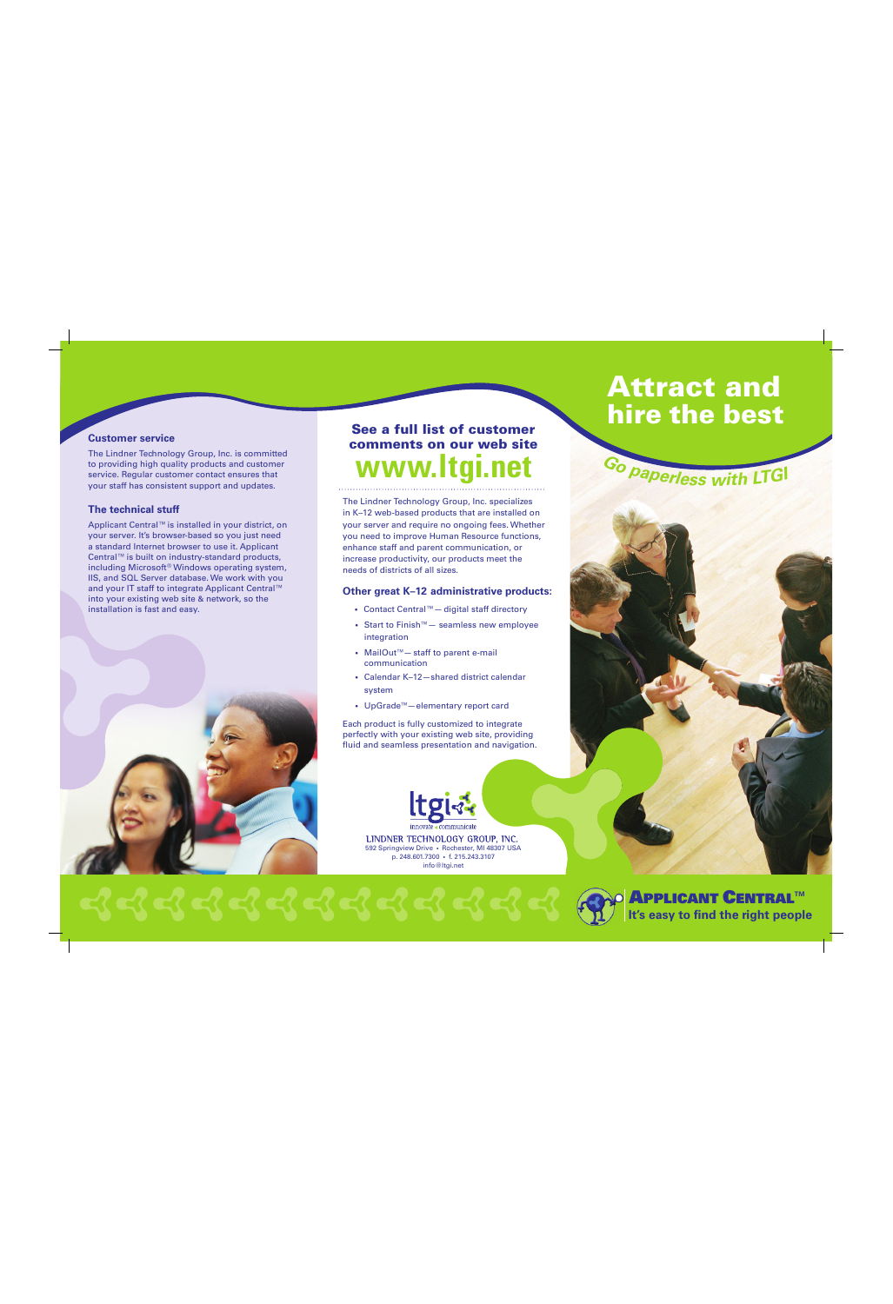#### **Customer service**

The Lindner Technology Group, Inc. is committed to providing high quality products and customer service. Regular customer contact ensures that your staff has consistent support and updates.

# **The technical stuff**

Applicant Central™ is installed in your district, on your server. It's browser-based so you just need a standard Internet browser to use it. Applicant Central™ is built on industry-standard products, including Microsoft® Windows operating system, IIS, and SQL Server database. We work with you and your IT staff to integrate Applicant Central™ into your existing web site & network, so the installation is fast and easy.



# **See a full list of customer comments on our web site**

The Lindner Technology Group, Inc. specializes in K–12 web-based products that are installed on your server and require no ongoing fees. Whether you need to improve Human Resource functions, enhance staff and parent communication, or increase productivity, our products meet the needs of districts of all sizes.

#### **Other great K–12 administrative products:**

- Contact Central™— digital staff directory
- Start to Finish™— seamless new employee integration
- MailOut™— staff to parent e-mail communication
- Calendar K–12—shared district calendar system
- UpGrade™—elementary report card

Each product is fully customized to integrate perfectly with your existing web site, providing fluid and seamless presentation and navigation.



LINDNER TECHNOLOGY GROUP, INC. 592 Springview Drive • Rochester, MI 48307 USA p. 248.601.7300 • f. 215.243.3107 info@ltgi.net







# **APPLICANT CENTRALTM It's easy to find the right people**